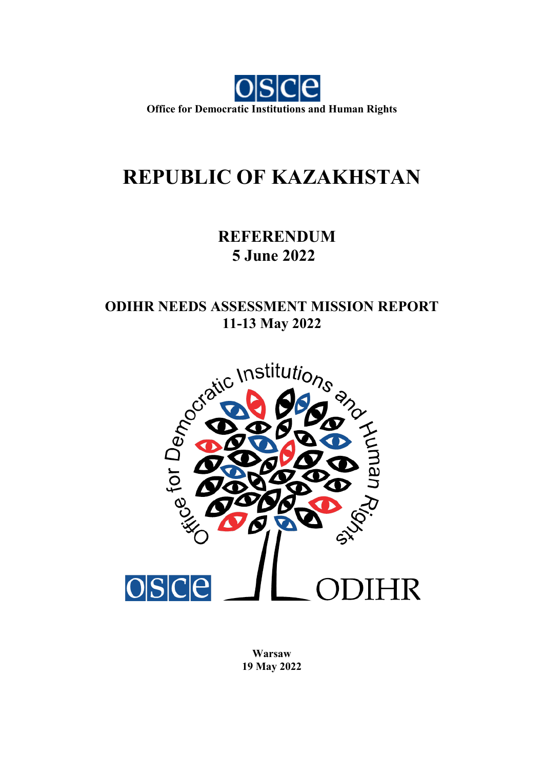

## **REPUBLIC OF KAZAKHSTAN**

### **REFERENDUM 5 June 2022**

# **ODIHR NEEDS ASSESSMENT MISSION REPORT**



**Warsaw 19 May 2022**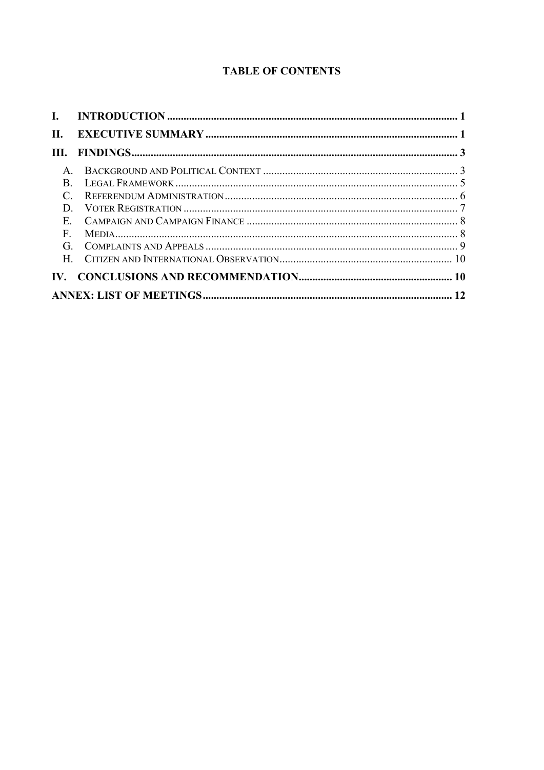#### **TABLE OF CONTENTS**

| П.           |  |  |
|--------------|--|--|
|              |  |  |
|              |  |  |
| $\mathbf{R}$ |  |  |
|              |  |  |
| D            |  |  |
|              |  |  |
| F            |  |  |
| $G_{\perp}$  |  |  |
|              |  |  |
|              |  |  |
|              |  |  |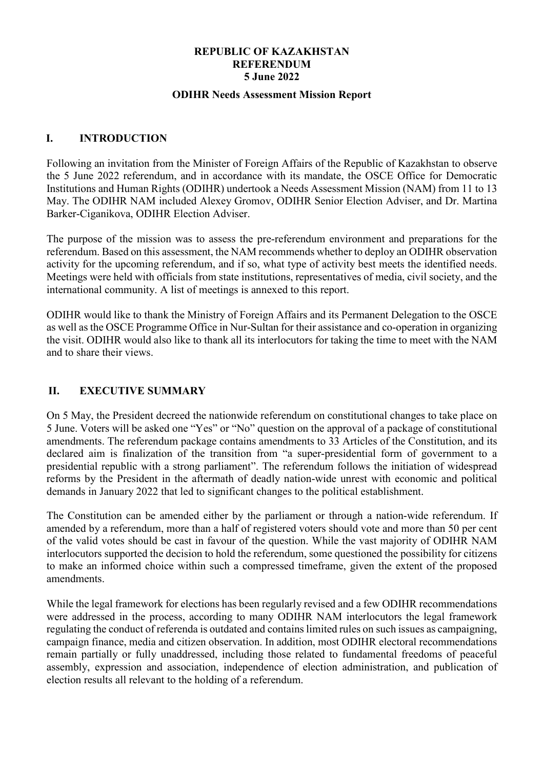#### **REPUBLIC OF KAZAKHSTAN REFERENDUM 5 June 2022**

#### **ODIHR Needs Assessment Mission Report**

#### <span id="page-2-0"></span>**I. INTRODUCTION**

Following an invitation from the Minister of Foreign Affairs of the Republic of Kazakhstan to observe the 5 June 2022 referendum, and in accordance with its mandate, the OSCE Office for Democratic Institutions and Human Rights (ODIHR) undertook a Needs Assessment Mission (NAM) from 11 to 13 May. The ODIHR NAM included Alexey Gromov, ODIHR Senior Election Adviser, and Dr. Martina Barker-Ciganikova, ODIHR Election Adviser.

The purpose of the mission was to assess the pre-referendum environment and preparations for the referendum. Based on this assessment, the NAM recommends whether to deploy an ODIHR observation activity for the upcoming referendum, and if so, what type of activity best meets the identified needs. Meetings were held with officials from state institutions, representatives of media, civil society, and the international community. A list of meetings is annexed to this report.

ODIHR would like to thank the Ministry of Foreign Affairs and its Permanent Delegation to the OSCE as well as the OSCE Programme Office in Nur-Sultan for their assistance and co-operation in organizing the visit. ODIHR would also like to thank all its interlocutors for taking the time to meet with the NAM and to share their views.

#### <span id="page-2-1"></span>**II. EXECUTIVE SUMMARY**

On 5 May, the President decreed the nationwide referendum on constitutional changes to take place on 5 June. Voters will be asked one "Yes" or "No" question on the approval of a package of constitutional amendments. The referendum package contains amendments to 33 Articles of the Constitution, and its declared aim is finalization of the transition from "a super-presidential form of government to a presidential republic with a strong parliament". The referendum follows the initiation of widespread reforms by the President in the aftermath of deadly nation-wide unrest with economic and political demands in January 2022 that led to significant changes to the political establishment.

The Constitution can be amended either by the parliament or through a nation-wide referendum. If amended by a referendum, more than a half of registered voters should vote and more than 50 per cent of the valid votes should be cast in favour of the question. While the vast majority of ODIHR NAM interlocutors supported the decision to hold the referendum, some questioned the possibility for citizens to make an informed choice within such a compressed timeframe, given the extent of the proposed amendments.

While the legal framework for elections has been regularly revised and a few ODIHR recommendations were addressed in the process, according to many ODIHR NAM interlocutors the legal framework regulating the conduct of referenda is outdated and contains limited rules on such issues as campaigning, campaign finance, media and citizen observation. In addition, most ODIHR electoral recommendations remain partially or fully unaddressed, including those related to fundamental freedoms of peaceful assembly, expression and association, independence of election administration, and publication of election results all relevant to the holding of a referendum.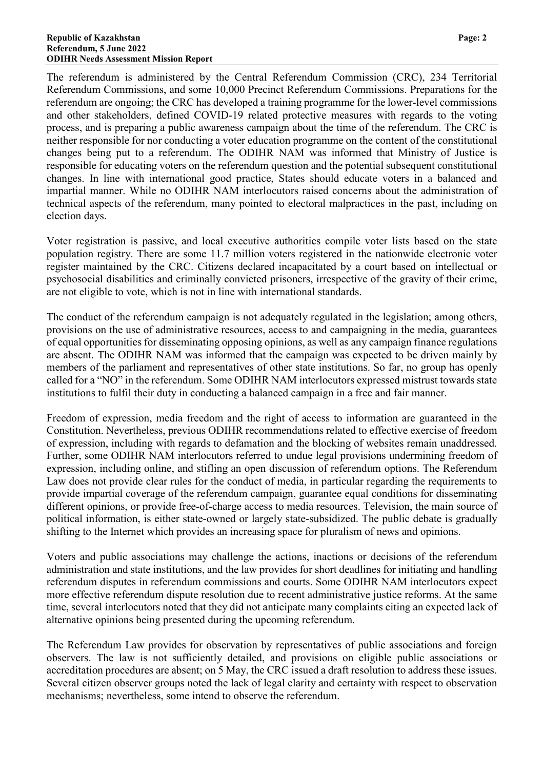The referendum is administered by the Central Referendum Commission (CRC), 234 Territorial Referendum Commissions, and some 10,000 Precinct Referendum Commissions. Preparations for the referendum are ongoing; the CRC has developed a training programme for the lower-level commissions and other stakeholders, defined COVID-19 related protective measures with regards to the voting process, and is preparing a public awareness campaign about the time of the referendum. The CRC is neither responsible for nor conducting a voter education programme on the content of the constitutional changes being put to a referendum. The ODIHR NAM was informed that Ministry of Justice is responsible for educating voters on the referendum question and the potential subsequent constitutional changes. In line with international good practice, States should educate voters in a balanced and impartial manner. While no ODIHR NAM interlocutors raised concerns about the administration of technical aspects of the referendum, many pointed to electoral malpractices in the past, including on election days.

Voter registration is passive, and local executive authorities compile voter lists based on the state population registry. There are some 11.7 million voters registered in the nationwide electronic voter register maintained by the CRC. Citizens declared incapacitated by a court based on intellectual or psychosocial disabilities and criminally convicted prisoners, irrespective of the gravity of their crime, are not eligible to vote, which is not in line with international standards.

The conduct of the referendum campaign is not adequately regulated in the legislation; among others, provisions on the use of administrative resources, access to and campaigning in the media, guarantees of equal opportunities for disseminating opposing opinions, as well as any campaign finance regulations are absent. The ODIHR NAM was informed that the campaign was expected to be driven mainly by members of the parliament and representatives of other state institutions. So far, no group has openly called for a "NO" in the referendum. Some ODIHR NAM interlocutors expressed mistrust towards state institutions to fulfil their duty in conducting a balanced campaign in a free and fair manner.

Freedom of expression, media freedom and the right of access to information are guaranteed in the Constitution. Nevertheless, previous ODIHR recommendations related to effective exercise of freedom of expression, including with regards to defamation and the blocking of websites remain unaddressed. Further, some ODIHR NAM interlocutors referred to undue legal provisions undermining freedom of expression, including online, and stifling an open discussion of referendum options. The Referendum Law does not provide clear rules for the conduct of media, in particular regarding the requirements to provide impartial coverage of the referendum campaign, guarantee equal conditions for disseminating different opinions, or provide free-of-charge access to media resources. Television, the main source of political information, is either state-owned or largely state-subsidized. The public debate is gradually shifting to the Internet which provides an increasing space for pluralism of news and opinions.

Voters and public associations may challenge the actions, inactions or decisions of the referendum administration and state institutions, and the law provides for short deadlines for initiating and handling referendum disputes in referendum commissions and courts. Some ODIHR NAM interlocutors expect more effective referendum dispute resolution due to recent administrative justice reforms. At the same time, several interlocutors noted that they did not anticipate many complaints citing an expected lack of alternative opinions being presented during the upcoming referendum.

The Referendum Law provides for observation by representatives of public associations and foreign observers. The law is not sufficiently detailed, and provisions on eligible public associations or accreditation procedures are absent; on 5 May, the CRC issued a draft resolution to address these issues. Several citizen observer groups noted the lack of legal clarity and certainty with respect to observation mechanisms; nevertheless, some intend to observe the referendum.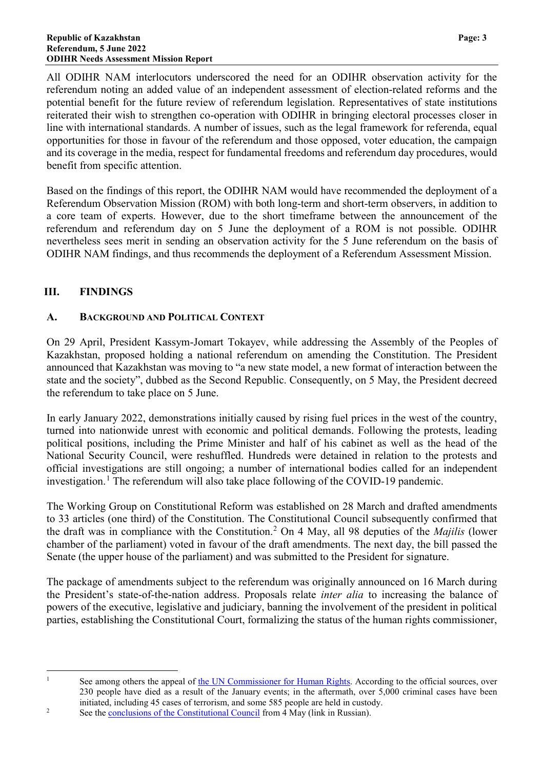All ODIHR NAM interlocutors underscored the need for an ODIHR observation activity for the referendum noting an added value of an independent assessment of election-related reforms and the potential benefit for the future review of referendum legislation. Representatives of state institutions reiterated their wish to strengthen co-operation with ODIHR in bringing electoral processes closer in line with international standards. A number of issues, such as the legal framework for referenda, equal opportunities for those in favour of the referendum and those opposed, voter education, the campaign and its coverage in the media, respect for fundamental freedoms and referendum day procedures, would benefit from specific attention.

Based on the findings of this report, the ODIHR NAM would have recommended the deployment of a Referendum Observation Mission (ROM) with both long-term and short-term observers, in addition to a core team of experts. However, due to the short timeframe between the announcement of the referendum and referendum day on 5 June the deployment of a ROM is not possible. ODIHR nevertheless sees merit in sending an observation activity for the 5 June referendum on the basis of ODIHR NAM findings, and thus recommends the deployment of a Referendum Assessment Mission.

#### <span id="page-4-0"></span>**III. FINDINGS**

#### <span id="page-4-1"></span>**A. BACKGROUND AND POLITICAL CONTEXT**

On 29 April, President Kassym-Jomart Tokayev, while addressing the Assembly of the Peoples of Kazakhstan, proposed holding a national referendum on amending the Constitution. The President announced that Kazakhstan was moving to "a new state model, a new format of interaction between the state and the society", dubbed as the Second Republic. Consequently, on 5 May, the President decreed the referendum to take place on 5 June.

In early January 2022, demonstrations initially caused by rising fuel prices in the west of the country, turned into nationwide unrest with economic and political demands. Following the protests, leading political positions, including the Prime Minister and half of his cabinet as well as the head of the National Security Council, were reshuffled. Hundreds were detained in relation to the protests and official investigations are still ongoing; a number of international bodies called for an independent investigation.<sup>[1](#page-4-2)</sup> The referendum will also take place following of the COVID-19 pandemic.

The Working Group on Constitutional Reform was established on 28 March and drafted amendments to 33 articles (one third) of the Constitution. The Constitutional Council subsequently confirmed that the draft was in compliance with the Constitution.[2](#page-4-3) On 4 May, all 98 deputies of the *Majilis* (lower chamber of the parliament) voted in favour of the draft amendments. The next day, the bill passed the Senate (the upper house of the parliament) and was submitted to the President for signature.

The package of amendments subject to the referendum was originally announced on 16 March during the President's state-of-the-nation address. Proposals relate *inter alia* to increasing the balance of powers of the executive, legislative and judiciary, banning the involvement of the president in political parties, establishing the Constitutional Court, formalizing the status of the human rights commissioner,

<span id="page-4-2"></span>

<sup>&</sup>lt;sup>1</sup> See among others the appeal of [the UN Commissioner for Human Rights.](https://www.ohchr.org/en/press-releases/2022/01/kazakhstan-unrest-bachelet-urges-peaceful-resolution-grievances?LangID=E&NewsID=28016) According to the official sources, over 230 people have died as a result of the January events; in the aftermath, over 5,000 criminal cases have been initiated, including 45 cases of terrorism, and some 585 people are held in custody.

<span id="page-4-3"></span><sup>&</sup>lt;sup>2</sup> See th[e conclusions of the Constitutional Council](https://adilet.zan.kz/rus/docs/T2200000001) from  $\frac{1}{4}$  May (link in Russian).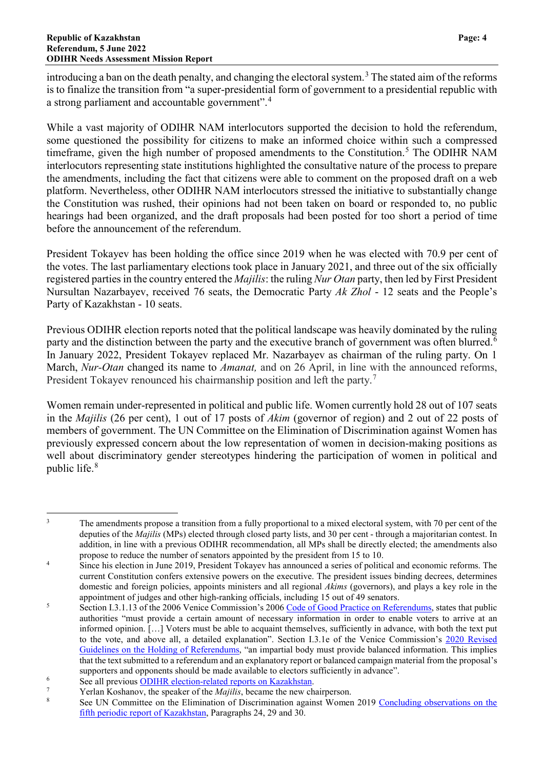introducing a ban on the death penalty, and changing the electoral system. [3](#page-5-0) The stated aim of the reforms is to finalize the transition from "a super-presidential form of government to a presidential republic with a strong parliament and accountable government".[4](#page-5-1)

While a vast majority of ODIHR NAM interlocutors supported the decision to hold the referendum, some questioned the possibility for citizens to make an informed choice within such a compressed timeframe, given the high number of proposed amendments to the Constitution.<sup>[5](#page-5-2)</sup> The ODIHR NAM interlocutors representing state institutions highlighted the consultative nature of the process to prepare the amendments, including the fact that citizens were able to comment on the proposed draft on a web platform. Nevertheless, other ODIHR NAM interlocutors stressed the initiative to substantially change the Constitution was rushed, their opinions had not been taken on board or responded to, no public hearings had been organized, and the draft proposals had been posted for too short a period of time before the announcement of the referendum.

President Tokayev has been holding the office since 2019 when he was elected with 70.9 per cent of the votes. The last parliamentary elections took place in January 2021, and three out of the six officially registered parties in the country entered the *Majilis*: the ruling *Nur Otan* party, then led by First President Nursultan Nazarbayev, received 76 seats, the Democratic Party *Ak Zhol* - 12 seats and the People's Party of Kazakhstan - 10 seats.

Previous ODIHR election reports noted that the political landscape was heavily dominated by the ruling party and the distinction between the party and the executive branch of government was often blurred.<sup>[6](#page-5-3)</sup> In January 2022, President Tokayev replaced Mr. Nazarbayev as chairman of the ruling party. On 1 March, *Nur-Otan* changed its name to *Amanat,* and on 26 April, in line with the announced reforms, President Tokayev renounced his chairmanship position and left the party.<sup>[7](#page-5-4)</sup>

Women remain under-represented in political and public life. Women currently hold 28 out of 107 seats in the *Majilis* (26 per cent), 1 out of 17 posts of *Akim* (governor of region) and 2 out of 22 posts of members of government. The UN Committee on the Elimination of Discrimination against Women has previously expressed concern about the low representation of women in decision-making positions as well about discriminatory gender stereotypes hindering the participation of women in political and public life.[8](#page-5-5)

<span id="page-5-0"></span><sup>&</sup>lt;sup>3</sup> The amendments propose a transition from a fully proportional to a mixed electoral system, with 70 per cent of the deputies of the *Majilis* (MPs) elected through closed party lists, and 30 per cent - through a majoritarian contest. In addition, in line with a previous ODIHR recommendation, all MPs shall be directly elected; the amendments also propose to reduce the number of senators appointed by the president from 15 to 10.

<span id="page-5-1"></span><sup>&</sup>lt;sup>4</sup> Since his election in June 2019, President Tokayev has announced a series of political and economic reforms. The current Constitution confers extensive powers on the executive. The president issues binding decrees, determines domestic and foreign policies, appoints ministers and all regional *Akims* (governors), and plays a key role in the appointment of judges and other high-ranking officials, including 15 out of 49 senators.

<span id="page-5-2"></span><sup>&</sup>lt;sup>5</sup> Section I.3.1.13 of the 2006 Venice Commission's 200[6 Code of Good Practice on Referendums,](https://www.venice.coe.int/webforms/documents/default.aspx?pdffile=CDL-AD(2007)008rev-cor-e) states that public authorities "must provide a certain amount of necessary information in order to enable voters to arrive at an informed opinion. […] Voters must be able to acquaint themselves, sufficiently in advance, with both the text put to the vote, and above all, a detailed explanation". Section I.3.1e of the Venice Commission's [2020 Revised](https://www.venice.coe.int/webforms/documents/default.aspx?pdffile=CDL-AD(2020)031-e)  [Guidelines on the Holding of Referendums,](https://www.venice.coe.int/webforms/documents/default.aspx?pdffile=CDL-AD(2020)031-e) "an impartial body must provide balanced information. This implies that the text submitted to a referendum and an explanatory report or balanced campaign material from the proposal's supporters and opponents should be made available to electors sufficiently in advance".

<span id="page-5-3"></span><sup>&</sup>lt;sup>6</sup> See all previous  $\frac{ODIHR}{P}$  election-related reports on Kazakhstan.

<span id="page-5-5"></span><span id="page-5-4"></span><sup>&</sup>lt;sup>7</sup><br><sup>7</sup> Yerlan Koshanov, the speaker of the *Majilis*, became the new chairperson.

See UN Committee on the Elimination of Discrimination against Women 2019 Concluding observations on the [fifth periodic report of Kazakhstan,](https://tbinternet.ohchr.org/_layouts/15/treatybodyexternal/Download.aspx?symbolno=CEDAW%2fC%2fKAZ%2fCO%2f5&Lang=en) Paragraphs 24, 29 and 30.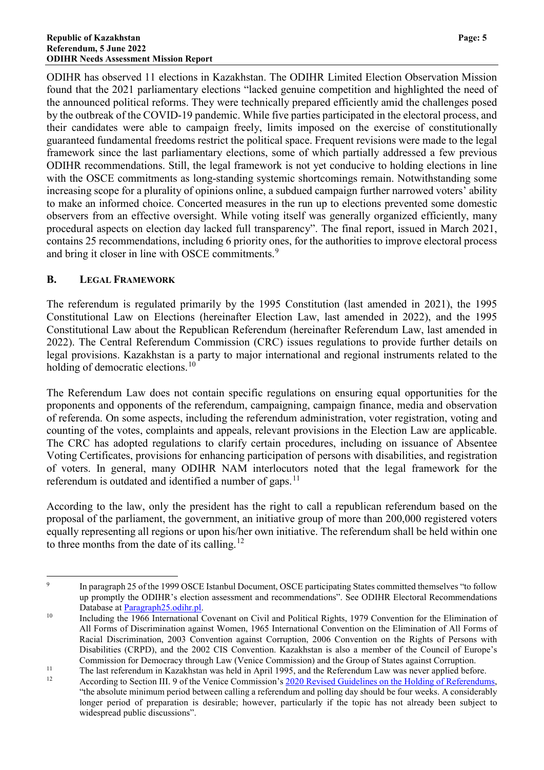ODIHR has observed 11 elections in Kazakhstan. The ODIHR Limited Election Observation Mission found that the 2021 parliamentary elections "lacked genuine competition and highlighted the need of the announced political reforms. They were technically prepared efficiently amid the challenges posed by the outbreak of the COVID-19 pandemic. While five parties participated in the electoral process, and their candidates were able to campaign freely, limits imposed on the exercise of constitutionally guaranteed fundamental freedoms restrict the political space. Frequent revisions were made to the legal framework since the last parliamentary elections, some of which partially addressed a few previous ODIHR recommendations. Still, the legal framework is not yet conducive to holding elections in line with the OSCE commitments as long-standing systemic shortcomings remain. Notwithstanding some increasing scope for a plurality of opinions online, a subdued campaign further narrowed voters' ability to make an informed choice. Concerted measures in the run up to elections prevented some domestic observers from an effective oversight. While voting itself was generally organized efficiently, many procedural aspects on election day lacked full transparency". The final report, issued in March 2021, contains 25 recommendations, including 6 priority ones, for the authorities to improve electoral process and bring it closer in line with OSCE commitments.<sup>[9](#page-6-1)</sup>

#### <span id="page-6-0"></span>**B. LEGAL FRAMEWORK**

The referendum is regulated primarily by the 1995 Constitution (last amended in 2021), the 1995 Constitutional Law on Elections (hereinafter Election Law, last amended in 2022), and the 1995 Constitutional Law about the Republican Referendum (hereinafter Referendum Law, last amended in 2022). The Central Referendum Commission (CRC) issues regulations to provide further details on legal provisions. Kazakhstan is a party to major international and regional instruments related to the holding of democratic elections.<sup>[10](#page-6-2)</sup>

The Referendum Law does not contain specific regulations on ensuring equal opportunities for the proponents and opponents of the referendum, campaigning, campaign finance, media and observation of referenda. On some aspects, including the referendum administration, voter registration, voting and counting of the votes, complaints and appeals, relevant provisions in the Election Law are applicable. The CRC has adopted regulations to clarify certain procedures, including on issuance of Absentee Voting Certificates, provisions for enhancing participation of persons with disabilities, and registration of voters. In general, many ODIHR NAM interlocutors noted that the legal framework for the referendum is outdated and identified a number of gaps.<sup>[11](#page-6-3)</sup>

According to the law, only the president has the right to call a republican referendum based on the proposal of the parliament, the government, an initiative group of more than 200,000 registered voters equally representing all regions or upon his/her own initiative. The referendum shall be held within one to three months from the date of its calling.<sup>[12](#page-6-4)</sup>

<span id="page-6-1"></span><sup>&</sup>lt;sup>9</sup> In paragraph 25 of the [1999 OSCE Istanbul Document,](https://www.osce.org/files/f/documents/6/5/39569.pdf) OSCE participating States committed themselves "to follow up promptly the ODIHR's election assessment and recommendations". See ODIHR Electoral Recommendations Database at [Paragraph25.odihr.pl.](http://paragraph25.odihr.pl/)

<span id="page-6-2"></span><sup>&</sup>lt;sup>10</sup> Including the 1966 International Covenant on Civil and Political Rights, 1979 Convention for the Elimination of All Forms of Discrimination against Women, 1965 International Convention on the Elimination of All Forms of Racial Discrimination, 2003 Convention against Corruption, 2006 Convention on the Rights of Persons with Disabilities (CRPD), and the 2002 CIS Convention. Kazakhstan is also a member of the Council of Europe's Commission for Democracy through Law (Venice Commission) and the Group of States against Corruption.

<span id="page-6-4"></span><span id="page-6-3"></span><sup>&</sup>lt;sup>11</sup> The last referendum in Kazakhstan was held in April 1995, and the Referendum Law was never applied before.

According to Section III. 9 of the Venice Commission's [2020 Revised Guidelines on the Holding of Referendums,](https://www.venice.coe.int/webforms/documents/default.aspx?pdffile=CDL-AD(2020)031-e) "the absolute minimum period between calling a referendum and polling day should be four weeks. A considerably longer period of preparation is desirable; however, particularly if the topic has not already been subject to widespread public discussions".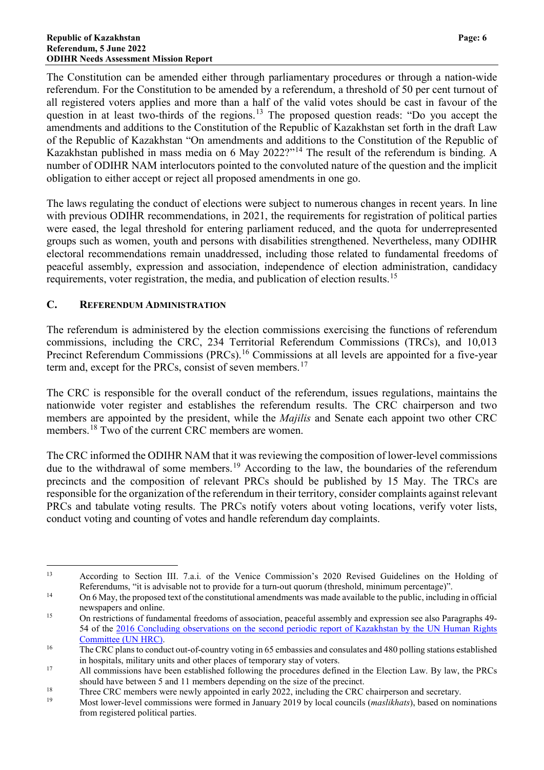The Constitution can be amended either through parliamentary procedures or through a nation-wide referendum. For the Constitution to be amended by a referendum, a threshold of 50 per cent turnout of all registered voters applies and more than a half of the valid votes should be cast in favour of the question in at least two-thirds of the regions.<sup>[13](#page-7-1)</sup> The proposed question reads: "Do you accept the amendments and additions to the Constitution of the Republic of Kazakhstan set forth in the draft Law of the Republic of Kazakhstan "On amendments and additions to the Constitution of the Republic of Kazakhstan published in mass media on 6 May 2022?"<sup>[14](#page-7-2)</sup> The result of the referendum is binding. A number of ODIHR NAM interlocutors pointed to the convoluted nature of the question and the implicit obligation to either accept or reject all proposed amendments in one go.

The laws regulating the conduct of elections were subject to numerous changes in recent years. In line with previous ODIHR recommendations, in 2021, the requirements for registration of political parties were eased, the legal threshold for entering parliament reduced, and the quota for underrepresented groups such as women, youth and persons with disabilities strengthened. Nevertheless, many ODIHR electoral recommendations remain unaddressed, including those related to fundamental freedoms of peaceful assembly, expression and association, independence of election administration, candidacy requirements, voter registration, the media, and publication of election results.[15](#page-7-3)

#### <span id="page-7-0"></span>**C. REFERENDUM ADMINISTRATION**

The referendum is administered by the election commissions exercising the functions of referendum commissions, including the CRC, 234 Territorial Referendum Commissions (TRCs), and 10,013 Precinct Referendum Commissions (PRCs).<sup>[16](#page-7-4)</sup> Commissions at all levels are appointed for a five-year term and, except for the PRCs, consist of seven members.<sup>[17](#page-7-5)</sup>

The CRC is responsible for the overall conduct of the referendum, issues regulations, maintains the nationwide voter register and establishes the referendum results. The CRC chairperson and two members are appointed by the president, while the *Majilis* and Senate each appoint two other CRC members.<sup>[18](#page-7-6)</sup> Two of the current CRC members are women.

The CRC informed the ODIHR NAM that it was reviewing the composition of lower-level commissions due to the withdrawal of some members.<sup>[19](#page-7-7)</sup> According to the law, the boundaries of the referendum precincts and the composition of relevant PRCs should be published by 15 May. The TRCs are responsible for the organization of the referendum in their territory, consider complaints against relevant PRCs and tabulate voting results. The PRCs notify voters about voting locations, verify voter lists, conduct voting and counting of votes and handle referendum day complaints.

<span id="page-7-1"></span> <sup>13</sup> According to Section III. 7.a.i. of the Venice Commission's 2020 Revised Guidelines on the Holding of Referendums, "it is advisable not to provide for a turn-out quorum (threshold, minimum percentage)".

<span id="page-7-2"></span><sup>&</sup>lt;sup>14</sup> On 6 May, the proposed text of the constitutional amendments was made available to the public, including in official newspapers and online.

<span id="page-7-3"></span><sup>&</sup>lt;sup>15</sup> On restrictions of fundamental freedoms of association, peaceful assembly and expression see also Paragraphs 49-54 of the [2016 Concluding observations on the second periodic report of Kazakhstan by the](https://documents-dds-ny.un.org/doc/UNDOC/GEN/G16/174/93/PDF/G1617493.pdf?OpenElement) UN Human Rights [Committee \(UN HRC\).](https://documents-dds-ny.un.org/doc/UNDOC/GEN/G16/174/93/PDF/G1617493.pdf?OpenElement)

<span id="page-7-4"></span><sup>&</sup>lt;sup>16</sup> The CRC plans to conduct out-of-country voting in 65 embassies and consulates and 480 polling stations established in hospitals, military units and other places of temporary stay of voters.

<span id="page-7-5"></span><sup>&</sup>lt;sup>17</sup> All commissions have been established following the procedures defined in the Election Law. By law, the PRCs should have between 5 and 11 members depending on the size of the precinct.

<span id="page-7-6"></span><sup>&</sup>lt;sup>18</sup><br>Three CRC members were newly appointed in early 2022, including the CRC chairperson and secretary.

<span id="page-7-7"></span><sup>19</sup> Most lower-level commissions were formed in January 2019 by local councils (*maslikhats*), based on nominations from registered political parties.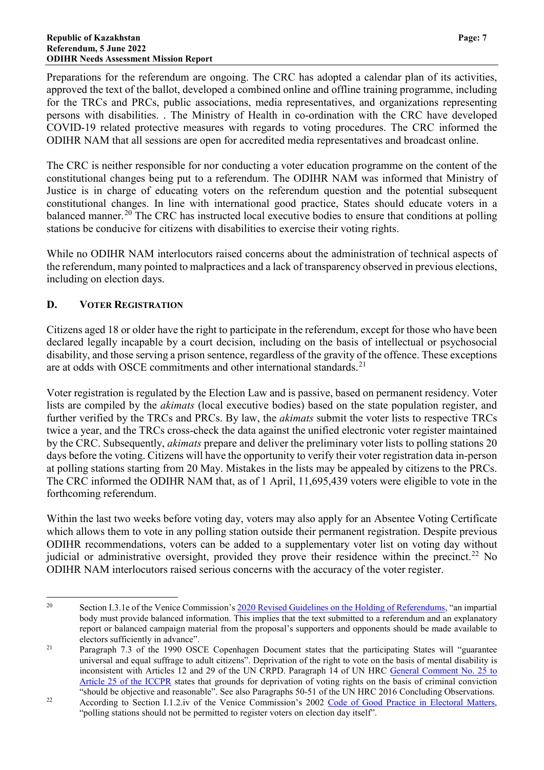Preparations for the referendum are ongoing. The CRC has adopted a calendar plan of its activities, approved the text of the ballot, developed a combined online and offline training programme, including for the TRCs and PRCs, public associations, media representatives, and organizations representing persons with disabilities. . The Ministry of Health in co-ordination with the CRC have developed COVID-19 related protective measures with regards to voting procedures. The CRC informed the ODIHR NAM that all sessions are open for accredited media representatives and broadcast online.

The CRC is neither responsible for nor conducting a voter education programme on the content of the constitutional changes being put to a referendum. The ODIHR NAM was informed that Ministry of Justice is in charge of educating voters on the referendum question and the potential subsequent constitutional changes. In line with international good practice, States should educate voters in a balanced manner.<sup>[20](#page-8-1)</sup> The CRC has instructed local executive bodies to ensure that conditions at polling stations be conducive for citizens with disabilities to exercise their voting rights.

While no ODIHR NAM interlocutors raised concerns about the administration of technical aspects of the referendum, many pointed to malpractices and a lack of transparency observed in previous elections, including on election days.

#### <span id="page-8-0"></span>**D. VOTER REGISTRATION**

Citizens aged 18 or older have the right to participate in the referendum, except for those who have been declared legally incapable by a court decision, including on the basis of intellectual or psychosocial disability, and those serving a prison sentence, regardless of the gravity of the offence. These exceptions are at odds with OSCE commitments and other international standards.<sup>[21](#page-8-2)</sup>

Voter registration is regulated by the Election Law and is passive, based on permanent residency. Voter lists are compiled by the *akimats* (local executive bodies) based on the state population register, and further verified by the TRCs and PRCs. By law, the *akimats* submit the voter lists to respective TRCs twice a year, and the TRCs cross-check the data against the unified electronic voter register maintained by the CRC. Subsequently, *akimats* prepare and deliver the preliminary voter lists to polling stations 20 days before the voting. Citizens will have the opportunity to verify their voter registration data in-person at polling stations starting from 20 May. Mistakes in the lists may be appealed by citizens to the PRCs. The CRC informed the ODIHR NAM that, as of 1 April, 11,695,439 voters were eligible to vote in the forthcoming referendum.

Within the last two weeks before voting day, voters may also apply for an Absentee Voting Certificate which allows them to vote in any polling station outside their permanent registration. Despite previous ODIHR recommendations, voters can be added to a supplementary voter list on voting day without judicial or administrative oversight, provided they prove their residence within the precinct.<sup>[22](#page-8-3)</sup> No ODIHR NAM interlocutors raised serious concerns with the accuracy of the voter register.

<span id="page-8-1"></span><sup>&</sup>lt;sup>20</sup> Section I.3.1e of the Venice Commission'[s 2020 Revised Guidelines on the Holding of Referendums,](https://www.venice.coe.int/webforms/documents/default.aspx?pdffile=CDL-AD(2020)031-e) "an impartial body must provide balanced information. This implies that the text submitted to a referendum and an explanatory report or balanced campaign material from the proposal's supporters and opponents should be made available to electors sufficiently in advance".

<span id="page-8-2"></span><sup>&</sup>lt;sup>21</sup> Paragraph 7.3 of the 1990 OSCE Copenhagen Document states that the participating States will "guarantee" universal and equal suffrage to adult citizens". Deprivation of the right to vote on the basis of mental disability is inconsistent with Articles 12 and 29 of the UN CRPD. Paragraph 14 of UN HRC General Comment No. 25 to [Article 25 of the ICCPR](http://www.refworld.org/docid/453883fc22.html) states that grounds for deprivation of voting rights on the basis of criminal conviction "should be objective and reasonable". See also Paragraphs 50-51 of the UN HRC 2016 Concluding Observations.

<span id="page-8-3"></span><sup>&</sup>lt;sup>22</sup> According to Section I.1.2.iv of the Venice Commission's 2002 [Code of Good Practice in Electoral Matters,](https://rm.coe.int/090000168092af01) "polling stations should not be permitted to register voters on election day itself".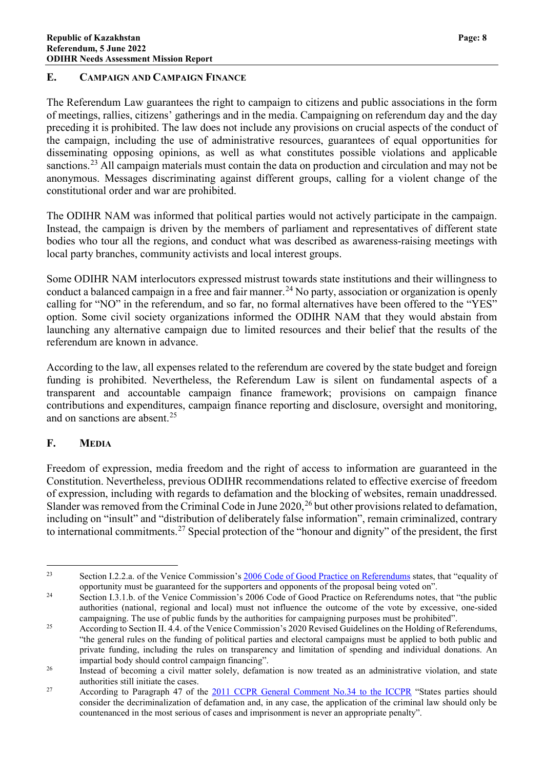#### <span id="page-9-0"></span>**E. CAMPAIGN AND CAMPAIGN FINANCE**

The Referendum Law guarantees the right to campaign to citizens and public associations in the form of meetings, rallies, citizens' gatherings and in the media. Campaigning on referendum day and the day preceding it is prohibited. The law does not include any provisions on crucial aspects of the conduct of the campaign, including the use of administrative resources, guarantees of equal opportunities for disseminating opposing opinions, as well as what constitutes possible violations and applicable sanctions.<sup>[23](#page-9-2)</sup> All campaign materials must contain the data on production and circulation and may not be anonymous. Messages discriminating against different groups, calling for a violent change of the constitutional order and war are prohibited.

The ODIHR NAM was informed that political parties would not actively participate in the campaign. Instead, the campaign is driven by the members of parliament and representatives of different state bodies who tour all the regions, and conduct what was described as awareness-raising meetings with local party branches, community activists and local interest groups.

Some ODIHR NAM interlocutors expressed mistrust towards state institutions and their willingness to conduct a balanced campaign in a free and fair manner.<sup>[24](#page-9-3)</sup> No party, association or organization is openly calling for "NO" in the referendum, and so far, no formal alternatives have been offered to the "YES" option. Some civil society organizations informed the ODIHR NAM that they would abstain from launching any alternative campaign due to limited resources and their belief that the results of the referendum are known in advance.

According to the law, all expenses related to the referendum are covered by the state budget and foreign funding is prohibited. Nevertheless, the Referendum Law is silent on fundamental aspects of a transparent and accountable campaign finance framework; provisions on campaign finance contributions and expenditures, campaign finance reporting and disclosure, oversight and monitoring, and on sanctions are absent.<sup>[25](#page-9-4)</sup>

#### <span id="page-9-1"></span>**F. MEDIA**

Freedom of expression, media freedom and the right of access to information are guaranteed in the Constitution. Nevertheless, previous ODIHR recommendations related to effective exercise of freedom of expression, including with regards to defamation and the blocking of websites, remain unaddressed. Slander was removed from the Criminal Code in June  $2020$ ,  $^{26}$  $^{26}$  $^{26}$  but other provisions related to defamation, including on "insult" and "distribution of deliberately false information", remain criminalized, contrary to international commitments.<sup>[27](#page-9-6)</sup> Special protection of the "honour and dignity" of the president, the first

<span id="page-9-2"></span><sup>&</sup>lt;sup>23</sup> Section I.2.2.a. of the Venice Commission's [2006 Code of Good Practice on Referendums](https://www.venice.coe.int/webforms/documents/default.aspx?pdffile=CDL-AD(2007)008rev-cor-e) states, that "equality of opportunity must be guaranteed for the supporters and opponents of the proposal being voted on".

<span id="page-9-3"></span><sup>&</sup>lt;sup>24</sup> Section I.3.1.b. of the Venice Commission's 2006 Code of Good Practice on Referendums notes, that "the public authorities (national, regional and local) must not influence the outcome of the vote by excessive, one-sided campaigning. The use of public funds by the authorities for campaigning purposes must be prohibited".

<span id="page-9-4"></span><sup>&</sup>lt;sup>25</sup> According to Section II. 4.4. of the Venice Commission's 2020 Revised Guidelines on the Holding of Referendums, "the general rules on the funding of political parties and electoral campaigns must be applied to both public and private funding, including the rules on transparency and limitation of spending and individual donations. An impartial body should control campaign financing".

<span id="page-9-5"></span><sup>&</sup>lt;sup>26</sup> Instead of becoming a civil matter solely, defamation is now treated as an administrative violation, and state authorities still initiate the cases.

<span id="page-9-6"></span><sup>&</sup>lt;sup>27</sup> According to Paragraph 47 of the [2011 CCPR General Comment No.34 to the ICCPR](https://undocs.org/CCPR/C/GC/34) "States parties should consider the decriminalization of defamation and, in any case, the application of the criminal law should only be countenanced in the most serious of cases and imprisonment is never an appropriate penalty".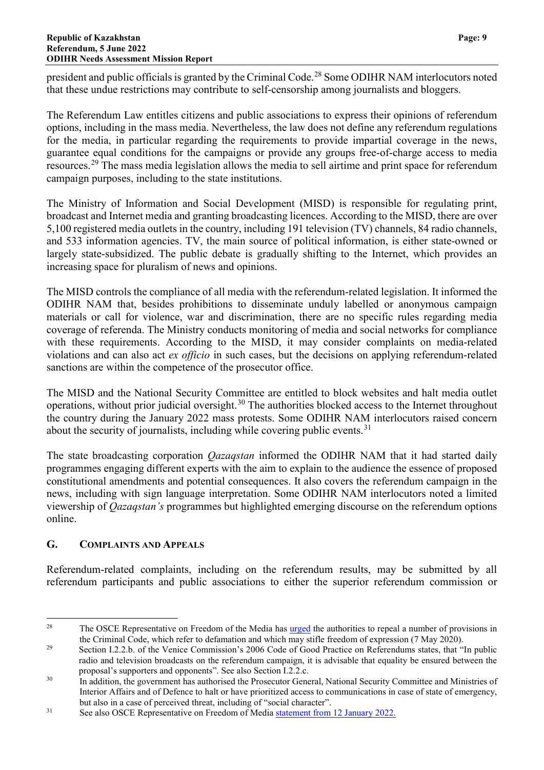president and public officials is granted by the Criminal Code.[28](#page-10-1) Some ODIHR NAM interlocutors noted that these undue restrictions may contribute to self-censorship among journalists and bloggers.

The Referendum Law entitles citizens and public associations to express their opinions of referendum options, including in the mass media. Nevertheless, the law does not define any referendum regulations for the media, in particular regarding the requirements to provide impartial coverage in the news, guarantee equal conditions for the campaigns or provide any groups free-of-charge access to media resources.[29](#page-10-2) The mass media legislation allows the media to sell airtime and print space for referendum campaign purposes, including to the state institutions.

The Ministry of Information and Social Development (MISD) is responsible for regulating print, broadcast and Internet media and granting broadcasting licences. According to the MISD, there are over 5,100 registered media outlets in the country, including 191 television (TV) channels, 84 radio channels, and 533 information agencies. TV, the main source of political information, is either state-owned or largely state-subsidized. The public debate is gradually shifting to the Internet, which provides an increasing space for pluralism of news and opinions.

The MISD controls the compliance of all media with the referendum-related legislation. It informed the ODIHR NAM that, besides prohibitions to disseminate unduly labelled or anonymous campaign materials or call for violence, war and discrimination, there are no specific rules regarding media coverage of referenda. The Ministry conducts monitoring of media and social networks for compliance with these requirements. According to the MISD, it may consider complaints on media-related violations and can also act *ex officio* in such cases, but the decisions on applying referendum-related sanctions are within the competence of the prosecutor office.

The MISD and the National Security Committee are entitled to block websites and halt media outlet operations, without prior judicial oversight.<sup>[30](#page-10-3)</sup> The authorities blocked access to the Internet throughout the country during the January 2022 mass protests. Some ODIHR NAM interlocutors raised concern about the security of journalists, including while covering public events.<sup>[31](#page-10-4)</sup>

The state broadcasting corporation *Qazaqstan* informed the ODIHR NAM that it had started daily programmes engaging different experts with the aim to explain to the audience the essence of proposed constitutional amendments and potential consequences. It also covers the referendum campaign in the news, including with sign language interpretation. Some ODIHR NAM interlocutors noted a limited viewership of *Qazaqstan's* programmes but highlighted emerging discourse on the referendum options online.

#### <span id="page-10-0"></span>**G. COMPLAINTS AND APPEALS**

Referendum-related complaints, including on the referendum results, may be submitted by all referendum participants and public associations to either the superior referendum commission or

<span id="page-10-1"></span><sup>&</sup>lt;sup>28</sup> The OSCE Representative on Freedom of the Media has [urged](https://www.osce.org/representative-on-freedom-of-media/451813) the authorities to repeal a number of provisions in the Criminal Code, which refer to defamation and which may stifle freedom of expression (7 May 2020).

<span id="page-10-2"></span><sup>&</sup>lt;sup>29</sup> Section I.2.2.b. of the Venice Commission's 2006 Code of Good Practice on Referendums states, that "In public radio and television broadcasts on the referendum campaign, it is advisable that equality be ensured between the proposal's supporters and opponents". See also Section I.2.2.c.

<span id="page-10-3"></span><sup>&</sup>lt;sup>30</sup> In addition, the government has authorised the Prosecutor General, National Security Committee and Ministries of Interior Affairs and of Defence to halt or have prioritized access to communications in case of state of emergency, but also in a case of perceived threat, including of "social character".

<span id="page-10-4"></span><sup>&</sup>lt;sup>31</sup> See also OSCE Representative on Freedom of Media [statement from 12 January 2022.](https://www.osce.org/representative-on-freedom-of-media/509825)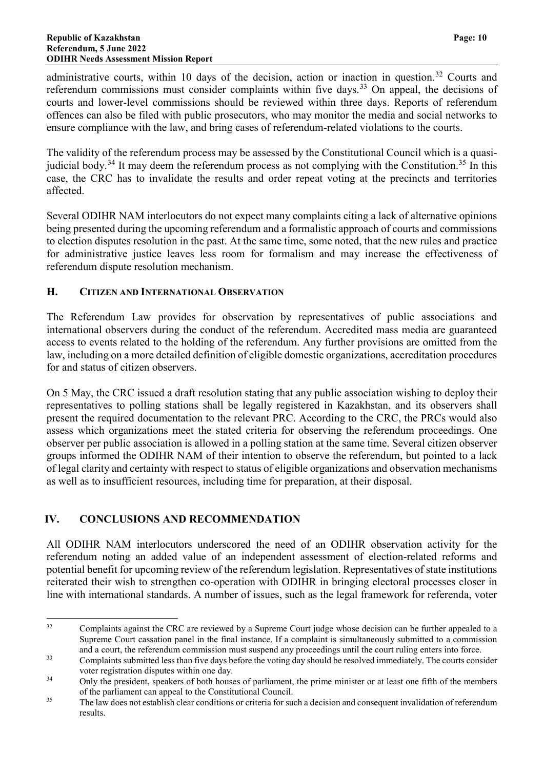administrative courts, within 10 days of the decision, action or inaction in question.<sup>[32](#page-11-2)</sup> Courts and referendum commissions must consider complaints within five days.<sup>[33](#page-11-3)</sup> On appeal, the decisions of courts and lower-level commissions should be reviewed within three days. Reports of referendum offences can also be filed with public prosecutors, who may monitor the media and social networks to ensure compliance with the law, and bring cases of referendum-related violations to the courts.

The validity of the referendum process may be assessed by the Constitutional Council which is a quasi-judicial body.<sup>[34](#page-11-4)</sup> It may deem the referendum process as not complying with the Constitution.<sup>[35](#page-11-5)</sup> In this case, the CRC has to invalidate the results and order repeat voting at the precincts and territories affected.

Several ODIHR NAM interlocutors do not expect many complaints citing a lack of alternative opinions being presented during the upcoming referendum and a formalistic approach of courts and commissions to election disputes resolution in the past. At the same time, some noted, that the new rules and practice for administrative justice leaves less room for formalism and may increase the effectiveness of referendum dispute resolution mechanism.

#### <span id="page-11-0"></span>**H. CITIZEN AND INTERNATIONAL OBSERVATION**

The Referendum Law provides for observation by representatives of public associations and international observers during the conduct of the referendum. Accredited mass media are guaranteed access to events related to the holding of the referendum. Any further provisions are omitted from the law, including on a more detailed definition of eligible domestic organizations, accreditation procedures for and status of citizen observers.

On 5 May, the CRC issued a draft resolution stating that any public association wishing to deploy their representatives to polling stations shall be legally registered in Kazakhstan, and its observers shall present the required documentation to the relevant PRC. According to the CRC, the PRCs would also assess which organizations meet the stated criteria for observing the referendum proceedings. One observer per public association is allowed in a polling station at the same time. Several citizen observer groups informed the ODIHR NAM of their intention to observe the referendum, but pointed to a lack of legal clarity and certainty with respect to status of eligible organizations and observation mechanisms as well as to insufficient resources, including time for preparation, at their disposal.

#### <span id="page-11-1"></span>**IV. CONCLUSIONS AND RECOMMENDATION**

All ODIHR NAM interlocutors underscored the need of an ODIHR observation activity for the referendum noting an added value of an independent assessment of election-related reforms and potential benefit for upcoming review of the referendum legislation. Representatives of state institutions reiterated their wish to strengthen co-operation with ODIHR in bringing electoral processes closer in line with international standards. A number of issues, such as the legal framework for referenda, voter

<span id="page-11-2"></span><sup>&</sup>lt;sup>32</sup> Complaints against the CRC are reviewed by a Supreme Court judge whose decision can be further appealed to a Supreme Court cassation panel in the final instance. If a complaint is simultaneously submitted to a commission and a court, the referendum commission must suspend any proceedings until the court ruling enters into force.

<span id="page-11-3"></span><sup>&</sup>lt;sup>33</sup> Complaints submitted less than five days before the voting day should be resolved immediately. The courts consider voter registration disputes within one day.

<span id="page-11-4"></span><sup>&</sup>lt;sup>34</sup> Only the president, speakers of both houses of parliament, the prime minister or at least one fifth of the members of the parliament can appeal to the Constitutional Council.

<span id="page-11-5"></span><sup>&</sup>lt;sup>35</sup> The law does not establish clear conditions or criteria for such a decision and consequent invalidation of referendum results.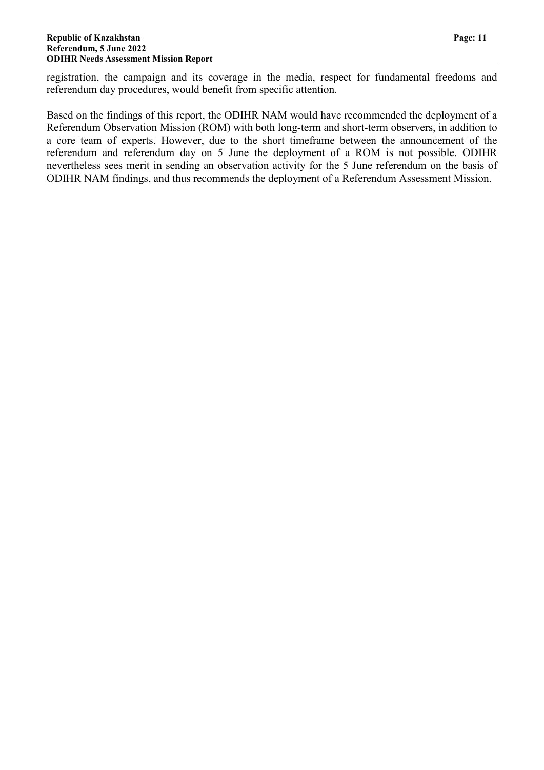registration, the campaign and its coverage in the media, respect for fundamental freedoms and referendum day procedures, would benefit from specific attention.

Based on the findings of this report, the ODIHR NAM would have recommended the deployment of a Referendum Observation Mission (ROM) with both long-term and short-term observers, in addition to a core team of experts. However, due to the short timeframe between the announcement of the referendum and referendum day on 5 June the deployment of a ROM is not possible. ODIHR nevertheless sees merit in sending an observation activity for the 5 June referendum on the basis of ODIHR NAM findings, and thus recommends the deployment of a Referendum Assessment Mission.